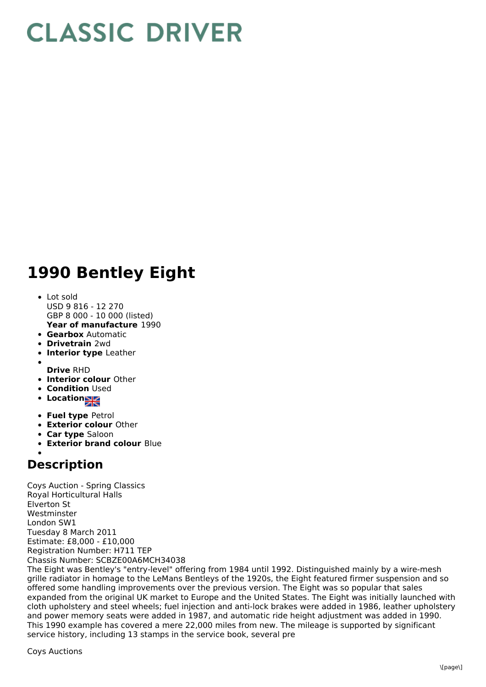## **CLASSIC DRIVER**

## **1990 Bentley Eight**

- **Year of manufacture** 1990 • Lot sold USD 9 816 - 12 270 GBP 8 000 - 10 000 (listed)
- **Gearbox** Automatic
- **Drivetrain** 2wd
- **Interior type** Leather
- **Drive** RHD
- **Interior colour** Other
- **Condition Used**
- **Location**
- **Fuel type** Petrol
- **Exterior colour** Other
- **Car type** Saloon
- **Exterior brand colour** Blue

## **Description**

Coys Auction - Spring Classics Royal Horticultural Halls Elverton St Westminster London SW1 Tuesday 8 March 2011 Estimate: £8,000 - £10,000 Registration Number: H711 TEP Chassis Number: SCBZE00A6MCH34038

The Eight was Bentley's "entry-level" offering from 1984 until 1992. Distinguished mainly by a wire-mesh grille radiator in homage to the LeMans Bentleys of the 1920s, the Eight featured firmer suspension and so offered some handling improvements over the previous version. The Eight was so popular that sales expanded from the original UK market to Europe and the United States. The Eight was initially launched with cloth upholstery and steel wheels; fuel injection and anti-lock brakes were added in 1986, leather upholstery and power memory seats were added in 1987, and automatic ride height adjustment was added in 1990. This 1990 example has covered a mere 22,000 miles from new. The mileage is supported by significant service history, including 13 stamps in the service book, several pre